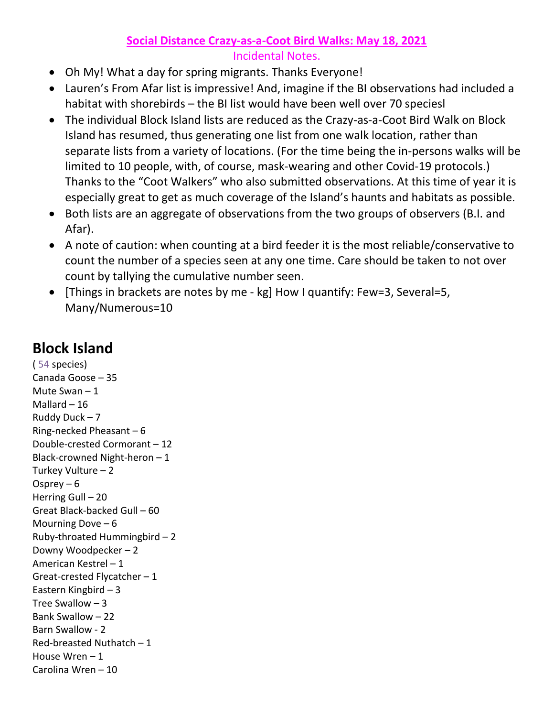## **Social Distance Crazy-as-a-Coot Bird Walks: May 18, 2021**

## Incidental Notes.

- Oh My! What a day for spring migrants. Thanks Everyone!
- Lauren's From Afar list is impressive! And, imagine if the BI observations had included a habitat with shorebirds – the BI list would have been well over 70 speciesl
- The individual Block Island lists are reduced as the Crazy-as-a-Coot Bird Walk on Block Island has resumed, thus generating one list from one walk location, rather than separate lists from a variety of locations. (For the time being the in-persons walks will be limited to 10 people, with, of course, mask-wearing and other Covid-19 protocols.) Thanks to the "Coot Walkers" who also submitted observations. At this time of year it is especially great to get as much coverage of the Island's haunts and habitats as possible.
- Both lists are an aggregate of observations from the two groups of observers (B.I. and Afar).
- A note of caution: when counting at a bird feeder it is the most reliable/conservative to count the number of a species seen at any one time. Care should be taken to not over count by tallying the cumulative number seen.
- [Things in brackets are notes by me kg] How I quantify: Few=3, Several=5, Many/Numerous=10

## **Block Island**

( 54 species) Canada Goose – 35 Mute Swan – 1 Mallard  $-16$ Ruddy Duck – 7 Ring-necked Pheasant – 6 Double-crested Cormorant – 12 Black-crowned Night-heron – 1 Turkey Vulture – 2 Osprey – 6 Herring Gull – 20 Great Black-backed Gull – 60 Mourning Dove – 6 Ruby-throated Hummingbird – 2 Downy Woodpecker – 2 American Kestrel – 1 Great-crested Flycatcher – 1 Eastern Kingbird – 3 Tree Swallow  $-3$ Bank Swallow – 22 Barn Swallow - 2 Red-breasted Nuthatch – 1 House Wren – 1 Carolina Wren – 10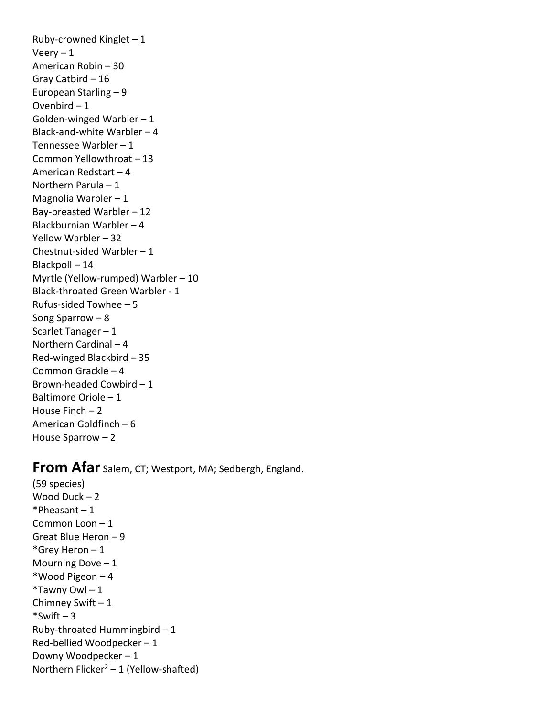Ruby-crowned Kinglet  $-1$ Veery  $-1$ American Robin – 30 Gray Catbird – 16 European Starling – 9 Ovenbird – 1 Golden-winged Warbler  $-1$ Black-and-white Warbler – 4 Tennessee Warbler – 1 Common Yellowthroat – 13 American Redstart – 4 Northern Parula – 1 Magnolia Warbler  $-1$ Bay-breasted Warbler – 12 Blackburnian Warbler – 4 Yellow Warbler – 32 Chestnut-sided Warbler – 1 Blackpoll – 14 Myrtle (Yellow-rumped) Warbler – 10 Black-throated Green Warbler - 1 Rufus-sided Towhee – 5 Song Sparrow – 8 Scarlet Tanager – 1 Northern Cardinal – 4 Red-winged Blackbird – 35 Common Grackle – 4 Brown-headed Cowbird – 1 Baltimore Oriole – 1 House Finch – 2 American Goldfinch – 6 House Sparrow – 2

## **From Afar** Salem, CT; Westport, MA; Sedbergh, England.

(59 species) Wood Duck – 2  $*Pheasant - 1$ Common Loon – 1 Great Blue Heron – 9 \*Grey Heron – 1 Mourning Dove  $-1$ \*Wood Pigeon – 4  $*$ Tawny Owl - 1 Chimney Swift – 1  $*$ Swift – 3 Ruby-throated Hummingbird – 1 Red-bellied Woodpecker – 1 Downy Woodpecker – 1 Northern Flicker<sup>2</sup> – 1 (Yellow-shafted)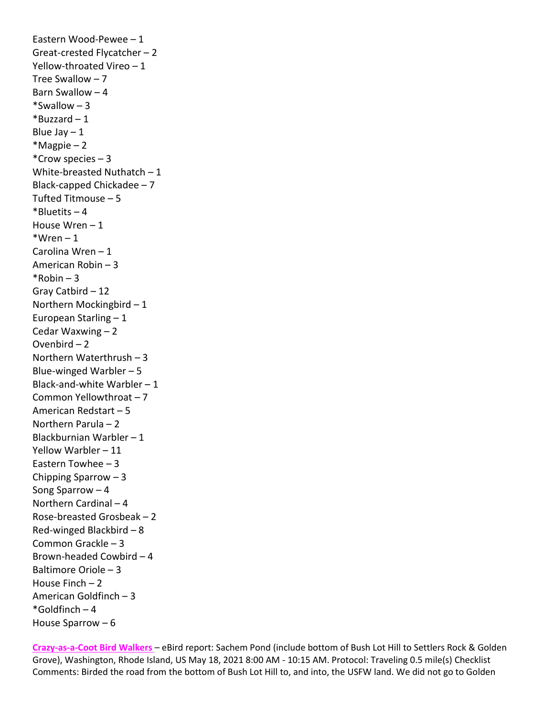Eastern Wood-Pewee – 1 Great-crested Flycatcher – 2 Yellow-throated Vireo – 1 Tree Swallow – 7 Barn Swallow – 4 \*Swallow – 3  $*$ Buzzard – 1 Blue Jay  $-1$ \*Magpie – 2 \*Crow species – 3 White-breasted Nuthatch – 1 Black-capped Chickadee – 7 Tufted Titmouse – 5  $*$ Bluetits – 4 House Wren – 1  $*Wren-1$ Carolina Wren – 1 American Robin – 3  $*$ Robin – 3 Gray Catbird – 12 Northern Mockingbird – 1 European Starling – 1 Cedar Waxwing – 2 Ovenbird – 2 Northern Waterthrush – 3 Blue-winged Warbler  $-5$ Black-and-white Warbler – 1 Common Yellowthroat – 7 American Redstart – 5 Northern Parula – 2 Blackburnian Warbler – 1 Yellow Warbler – 11 Eastern Towhee – 3 Chipping Sparrow – 3 Song Sparrow – 4 Northern Cardinal – 4 Rose-breasted Grosbeak – 2 Red-winged Blackbird – 8 Common Grackle – 3 Brown-headed Cowbird – 4 Baltimore Oriole – 3 House Finch – 2 American Goldfinch – 3  $*$ Goldfinch – 4 House Sparrow – 6

**Crazy-as-a-Coot Bird Walkers** – eBird report: Sachem Pond (include bottom of Bush Lot Hill to Settlers Rock & Golden Grove), Washington, Rhode Island, US May 18, 2021 8:00 AM - 10:15 AM. Protocol: Traveling 0.5 mile(s) Checklist Comments: Birded the road from the bottom of Bush Lot Hill to, and into, the USFW land. We did not go to Golden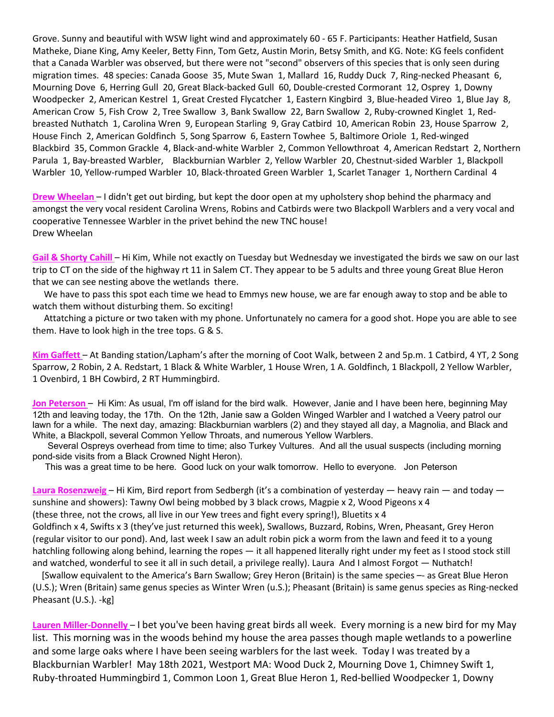Grove. Sunny and beautiful with WSW light wind and approximately 60 - 65 F. Participants: Heather Hatfield, Susan Matheke, Diane King, Amy Keeler, Betty Finn, Tom Getz, Austin Morin, Betsy Smith, and KG. Note: KG feels confident that a Canada Warbler was observed, but there were not "second" observers of this species that is only seen during migration times. 48 species: Canada Goose 35, Mute Swan 1, Mallard 16, Ruddy Duck 7, Ring-necked Pheasant 6, Mourning Dove 6, Herring Gull 20, Great Black-backed Gull 60, Double-crested Cormorant 12, Osprey 1, Downy Woodpecker 2, American Kestrel 1, Great Crested Flycatcher 1, Eastern Kingbird 3, Blue-headed Vireo 1, Blue Jay 8, American Crow 5, Fish Crow 2, Tree Swallow 3, Bank Swallow 22, Barn Swallow 2, Ruby-crowned Kinglet 1, Redbreasted Nuthatch 1, Carolina Wren 9, European Starling 9, Gray Catbird 10, American Robin 23, House Sparrow 2, House Finch 2, American Goldfinch 5, Song Sparrow 6, Eastern Towhee 5, Baltimore Oriole 1, Red-winged Blackbird 35, Common Grackle 4, Black-and-white Warbler 2, Common Yellowthroat 4, American Redstart 2, Northern Parula 1, Bay-breasted Warbler, Blackburnian Warbler 2, Yellow Warbler 20, Chestnut-sided Warbler 1, Blackpoll Warbler 10, Yellow-rumped Warbler 10, Black-throated Green Warbler 1, Scarlet Tanager 1, Northern Cardinal 4

**Drew Wheelan** – I didn't get out birding, but kept the door open at my upholstery shop behind the pharmacy and amongst the very vocal resident Carolina Wrens, Robins and Catbirds were two Blackpoll Warblers and a very vocal and cooperative Tennessee Warbler in the privet behind the new TNC house! Drew Wheelan

**Gail & Shorty Cahill** – Hi Kim, While not exactly on Tuesday but Wednesday we investigated the birds we saw on our last trip to CT on the side of the highway rt 11 in Salem CT. They appear to be 5 adults and three young Great Blue Heron that we can see nesting above the wetlands there.

 We have to pass this spot each time we head to Emmys new house, we are far enough away to stop and be able to watch them without disturbing them. So exciting!

 Attatching a picture or two taken with my phone. Unfortunately no camera for a good shot. Hope you are able to see them. Have to look high in the tree tops. G & S.

**Kim Gaffett** – At Banding station/Lapham's after the morning of Coot Walk, between 2 and 5p.m. 1 Catbird, 4 YT, 2 Song Sparrow, 2 Robin, 2 A. Redstart, 1 Black & White Warbler, 1 House Wren, 1 A. Goldfinch, 1 Blackpoll, 2 Yellow Warbler, 1 Ovenbird, 1 BH Cowbird, 2 RT Hummingbird.

**Jon Peterson** – Hi Kim: As usual, I'm off island for the bird walk. However, Janie and I have been here, beginning May 12th and leaving today, the 17th. On the 12th, Janie saw a Golden Winged Warbler and I watched a Veery patrol our lawn for a while. The next day, amazing: Blackburnian warblers (2) and they stayed all day, a Magnolia, and Black and White, a Blackpoll, several Common Yellow Throats, and numerous Yellow Warblers.

 Several Ospreys overhead from time to time; also Turkey Vultures. And all the usual suspects (including morning pond-side visits from a Black Crowned Night Heron).

This was a great time to be here. Good luck on your walk tomorrow. Hello to everyone. Jon Peterson

**Laura Rosenzweig** – Hi Kim, Bird report from Sedbergh (it's a combination of yesterday — heavy rain — and today sunshine and showers): Tawny Owl being mobbed by 3 black crows, Magpie x 2, Wood Pigeons x 4 (these three, not the crows, all live in our Yew trees and fight every spring!), Bluetits x 4 Goldfinch x 4, Swifts x 3 (they've just returned this week), Swallows, Buzzard, Robins, Wren, Pheasant, Grey Heron (regular visitor to our pond). And, last week I saw an adult robin pick a worm from the lawn and feed it to a young hatchling following along behind, learning the ropes — it all happened literally right under my feet as I stood stock still and watched, wonderful to see it all in such detail, a privilege really). Laura And I almost Forgot — Nuthatch!

 [Swallow equivalent to the America's Barn Swallow; Grey Heron (Britain) is the same species –- as Great Blue Heron (U.S.); Wren (Britain) same genus species as Winter Wren (u.S.); Pheasant (Britain) is same genus species as Ring-necked Pheasant (U.S.). -kg]

**Lauren Miller-Donnelly** – I bet you've been having great birds all week. Every morning is a new bird for my May list. This morning was in the woods behind my house the area passes though maple wetlands to a powerline and some large oaks where I have been seeing warblers for the last week. Today I was treated by a Blackburnian Warbler! May 18th 2021, Westport MA: Wood Duck 2, Mourning Dove 1, Chimney Swift 1, Ruby-throated Hummingbird 1, Common Loon 1, Great Blue Heron 1, Red-bellied Woodpecker 1, Downy